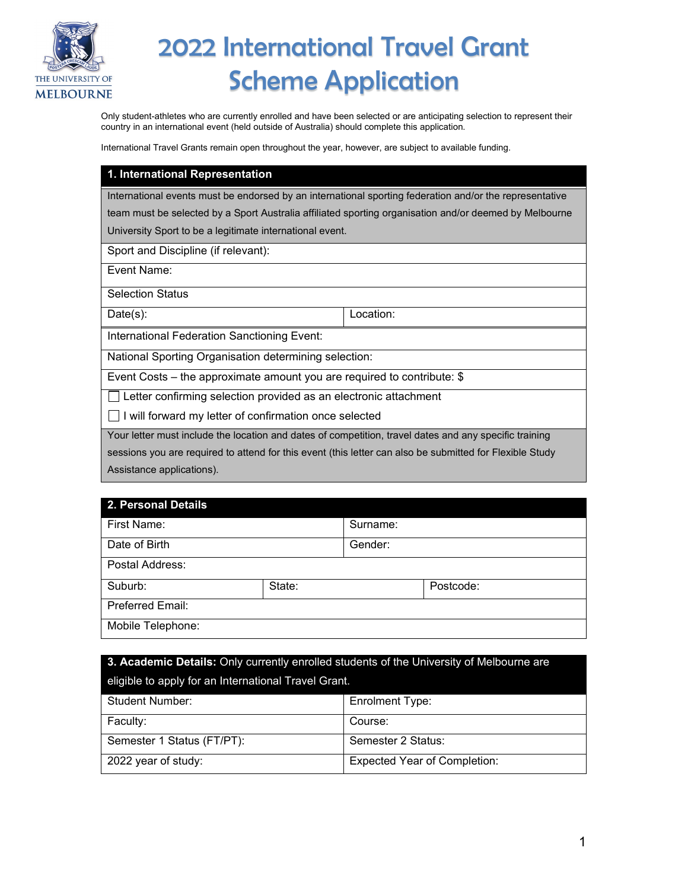

# 2022 International Travel Grant Scheme Application

Only student-athletes who are currently enrolled and have been selected or are anticipating selection to represent their country in an international event (held outside of Australia) should complete this application.

International Travel Grants remain open throughout the year, however, are subject to available funding.

#### **1. International Representation**

International events must be endorsed by an international sporting federation and/or the representative

team must be selected by a Sport Australia affiliated sporting organisation and/or deemed by Melbourne University Sport to be a legitimate international event.

Sport and Discipline (if relevant):

Event Name:

Selection Status

Date(s): Location:

International Federation Sanctioning Event:

National Sporting Organisation determining selection:

Event Costs – the approximate amount you are required to contribute: \$

Letter confirming selection provided as an electronic attachment

 $\Box$  I will forward my letter of confirmation once selected

Your letter must include the location and dates of competition, travel dates and any specific training

sessions you are required to attend for this event (this letter can also be submitted for Flexible Study Assistance applications).

#### **2. Personal Details**

| First Name:       |        | Surname: |           |
|-------------------|--------|----------|-----------|
| Date of Birth     |        | Gender:  |           |
| Postal Address:   |        |          |           |
| Suburb:           | State: |          | Postcode: |
| Preferred Email:  |        |          |           |
| Mobile Telephone: |        |          |           |

| 3. Academic Details: Only currently enrolled students of the University of Melbourne are |                                     |  |  |
|------------------------------------------------------------------------------------------|-------------------------------------|--|--|
| eligible to apply for an International Travel Grant.                                     |                                     |  |  |
| <b>Student Number:</b>                                                                   | <b>Enrolment Type:</b>              |  |  |
| Faculty:                                                                                 | Course:                             |  |  |
| Semester 1 Status (FT/PT):                                                               | Semester 2 Status:                  |  |  |
| 2022 year of study:                                                                      | <b>Expected Year of Completion:</b> |  |  |